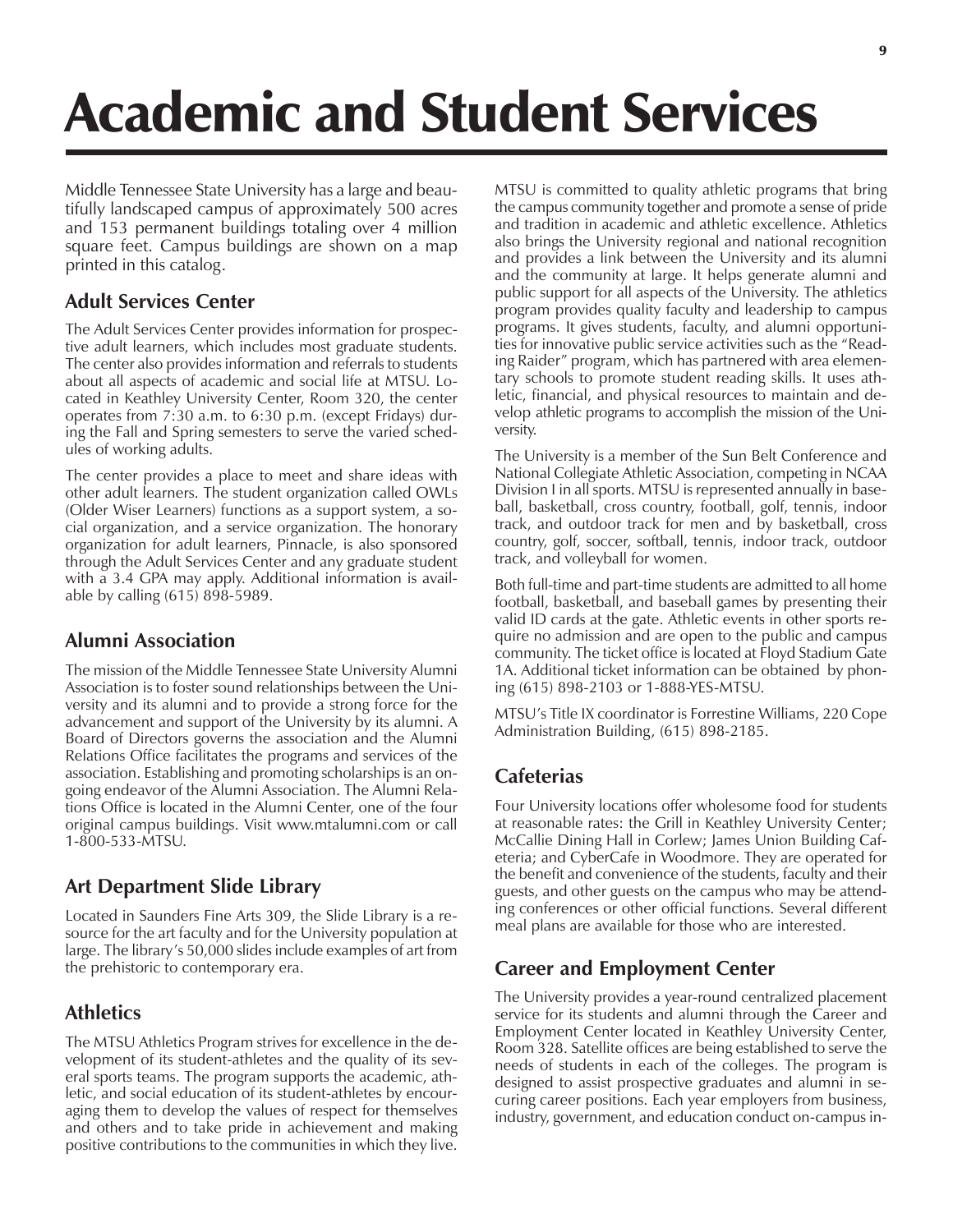# Academic and Student Services

Middle Tennessee State University has a large and beautifully landscaped campus of approximately 500 acres and 153 permanent buildings totaling over 4 million square feet. Campus buildings are shown on a map printed in this catalog.

## **Adult Services Center**

The Adult Services Center provides information for prospective adult learners, which includes most graduate students. The center also provides information and referrals to students about all aspects of academic and social life at MTSU. Located in Keathley University Center, Room 320, the center operates from 7:30 a.m. to 6:30 p.m. (except Fridays) during the Fall and Spring semesters to serve the varied schedules of working adults.

The center provides a place to meet and share ideas with other adult learners. The student organization called OWLs (Older Wiser Learners) functions as a support system, a social organization, and a service organization. The honorary organization for adult learners, Pinnacle, is also sponsored through the Adult Services Center and any graduate student with a 3.4 GPA may apply. Additional information is available by calling (615) 898-5989.

## **Alumni Association**

The mission of the Middle Tennessee State University Alumni Association is to foster sound relationships between the University and its alumni and to provide a strong force for the advancement and support of the University by its alumni. A Board of Directors governs the association and the Alumni Relations Office facilitates the programs and services of the association. Establishing and promoting scholarships is an ongoing endeavor of the Alumni Association. The Alumni Relations Office is located in the Alumni Center, one of the four original campus buildings. Visit www.mtalumni.com or call 1-800-533-MTSU.

#### **Art Department Slide Library**

Located in Saunders Fine Arts 309, the Slide Library is a resource for the art faculty and for the University population at large. The library's 50,000 slides include examples of art from the prehistoric to contemporary era.

## **Athletics**

The MTSU Athletics Program strives for excellence in the development of its student-athletes and the quality of its several sports teams. The program supports the academic, athletic, and social education of its student-athletes by encouraging them to develop the values of respect for themselves and others and to take pride in achievement and making positive contributions to the communities in which they live.

MTSU is committed to quality athletic programs that bring the campus community together and promote a sense of pride and tradition in academic and athletic excellence. Athletics also brings the University regional and national recognition and provides a link between the University and its alumni and the community at large. It helps generate alumni and public support for all aspects of the University. The athletics program provides quality faculty and leadership to campus programs. It gives students, faculty, and alumni opportunities for innovative public service activities such as the "Reading Raider" program, which has partnered with area elementary schools to promote student reading skills. It uses athletic, financial, and physical resources to maintain and develop athletic programs to accomplish the mission of the University.

The University is a member of the Sun Belt Conference and National Collegiate Athletic Association, competing in NCAA Division I in all sports. MTSU is represented annually in baseball, basketball, cross country, football, golf, tennis, indoor track, and outdoor track for men and by basketball, cross country, golf, soccer, softball, tennis, indoor track, outdoor track, and volleyball for women.

Both full-time and part-time students are admitted to all home football, basketball, and baseball games by presenting their valid ID cards at the gate. Athletic events in other sports require no admission and are open to the public and campus community. The ticket office is located at Floyd Stadium Gate 1A. Additional ticket information can be obtained by phoning (615) 898-2103 or 1-888-YES-MTSU.

MTSU's Title IX coordinator is Forrestine Williams, 220 Cope Administration Building, (615) 898-2185.

## **Cafeterias**

Four University locations offer wholesome food for students at reasonable rates: the Grill in Keathley University Center; McCallie Dining Hall in Corlew; James Union Building Cafeteria; and CyberCafe in Woodmore. They are operated for the benefit and convenience of the students, faculty and their guests, and other guests on the campus who may be attending conferences or other official functions. Several different meal plans are available for those who are interested.

## **Career and Employment Center**

The University provides a year-round centralized placement service for its students and alumni through the Career and Employment Center located in Keathley University Center, Room 328. Satellite offices are being established to serve the needs of students in each of the colleges. The program is designed to assist prospective graduates and alumni in securing career positions. Each year employers from business, industry, government, and education conduct on-campus in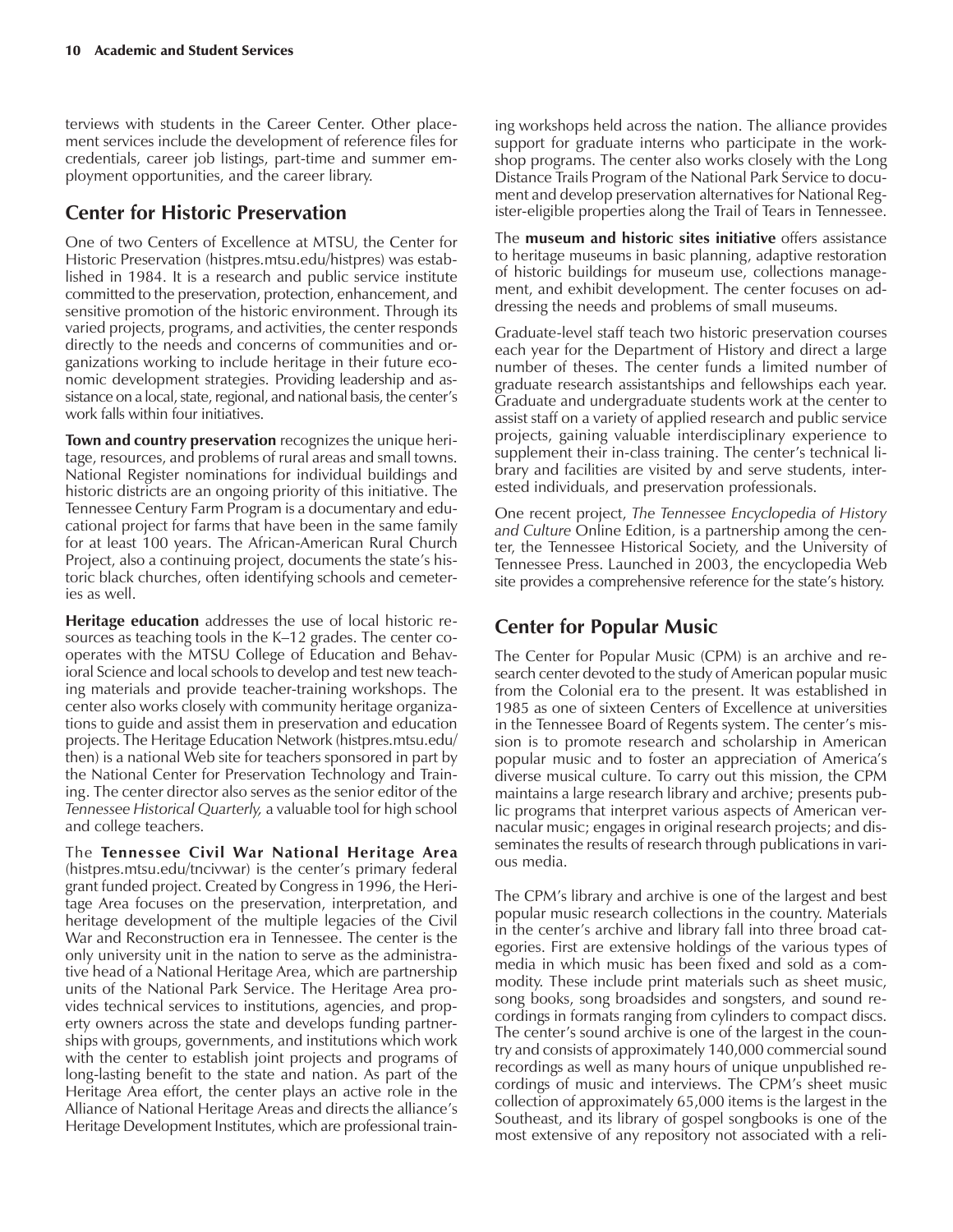terviews with students in the Career Center. Other placement services include the development of reference files for credentials, career job listings, part-time and summer employment opportunities, and the career library.

### **Center for Historic Preservation**

One of two Centers of Excellence at MTSU, the Center for Historic Preservation (histpres.mtsu.edu/histpres) was established in 1984. It is a research and public service institute committed to the preservation, protection, enhancement, and sensitive promotion of the historic environment. Through its varied projects, programs, and activities, the center responds directly to the needs and concerns of communities and organizations working to include heritage in their future economic development strategies. Providing leadership and assistance on a local, state, regional, and national basis, the center's work falls within four initiatives.

**Town and country preservation** recognizes the unique heritage, resources, and problems of rural areas and small towns. National Register nominations for individual buildings and historic districts are an ongoing priority of this initiative. The Tennessee Century Farm Program is a documentary and educational project for farms that have been in the same family for at least 100 years. The African-American Rural Church Project, also a continuing project, documents the state's historic black churches, often identifying schools and cemeteries as well.

**Heritage education** addresses the use of local historic resources as teaching tools in the K-12 grades. The center cooperates with the MTSU College of Education and Behavioral Science and local schools to develop and test new teaching materials and provide teacher-training workshops. The center also works closely with community heritage organizations to guide and assist them in preservation and education projects. The Heritage Education Network (histpres.mtsu.edu/ then) is a national Web site for teachers sponsored in part by the National Center for Preservation Technology and Training. The center director also serves as the senior editor of the *Tennessee Historical Quarterly,* a valuable tool for high school and college teachers.

The **Tennessee Civil War National Heritage Area** (histpres.mtsu.edu/tncivwar) is the center's primary federal grant funded project. Created by Congress in 1996, the Heritage Area focuses on the preservation, interpretation, and heritage development of the multiple legacies of the Civil War and Reconstruction era in Tennessee. The center is the only university unit in the nation to serve as the administrative head of a National Heritage Area, which are partnership units of the National Park Service. The Heritage Area provides technical services to institutions, agencies, and property owners across the state and develops funding partnerships with groups, governments, and institutions which work with the center to establish joint projects and programs of long-lasting benefit to the state and nation. As part of the Heritage Area effort, the center plays an active role in the Alliance of National Heritage Areas and directs the alliance's Heritage Development Institutes, which are professional train-

ing workshops held across the nation. The alliance provides support for graduate interns who participate in the workshop programs. The center also works closely with the Long Distance Trails Program of the National Park Service to document and develop preservation alternatives for National Register-eligible properties along the Trail of Tears in Tennessee.

The **museum and historic sites initiative** offers assistance to heritage museums in basic planning, adaptive restoration of historic buildings for museum use, collections management, and exhibit development. The center focuses on addressing the needs and problems of small museums.

Graduate-level staff teach two historic preservation courses each year for the Department of History and direct a large number of theses. The center funds a limited number of graduate research assistantships and fellowships each year. Graduate and undergraduate students work at the center to assist staff on a variety of applied research and public service projects, gaining valuable interdisciplinary experience to supplement their in-class training. The center's technical library and facilities are visited by and serve students, interested individuals, and preservation professionals.

One recent project, *The Tennessee Encyclopedia of History and Culture* Online Edition, is a partnership among the center, the Tennessee Historical Society, and the University of Tennessee Press. Launched in 2003, the encyclopedia Web site provides a comprehensive reference for the state's history.

## **Center for Popular Music**

The Center for Popular Music (CPM) is an archive and research center devoted to the study of American popular music from the Colonial era to the present. It was established in 1985 as one of sixteen Centers of Excellence at universities in the Tennessee Board of Regents system. The center's mission is to promote research and scholarship in American popular music and to foster an appreciation of America's diverse musical culture. To carry out this mission, the CPM maintains a large research library and archive; presents public programs that interpret various aspects of American vernacular music; engages in original research projects; and disseminates the results of research through publications in various media.

The CPM's library and archive is one of the largest and best popular music research collections in the country. Materials in the center's archive and library fall into three broad categories. First are extensive holdings of the various types of media in which music has been fixed and sold as a commodity. These include print materials such as sheet music, song books, song broadsides and songsters, and sound recordings in formats ranging from cylinders to compact discs. The center's sound archive is one of the largest in the country and consists of approximately 140,000 commercial sound recordings as well as many hours of unique unpublished recordings of music and interviews. The CPM's sheet music collection of approximately 65,000 items is the largest in the Southeast, and its library of gospel songbooks is one of the most extensive of any repository not associated with a reli-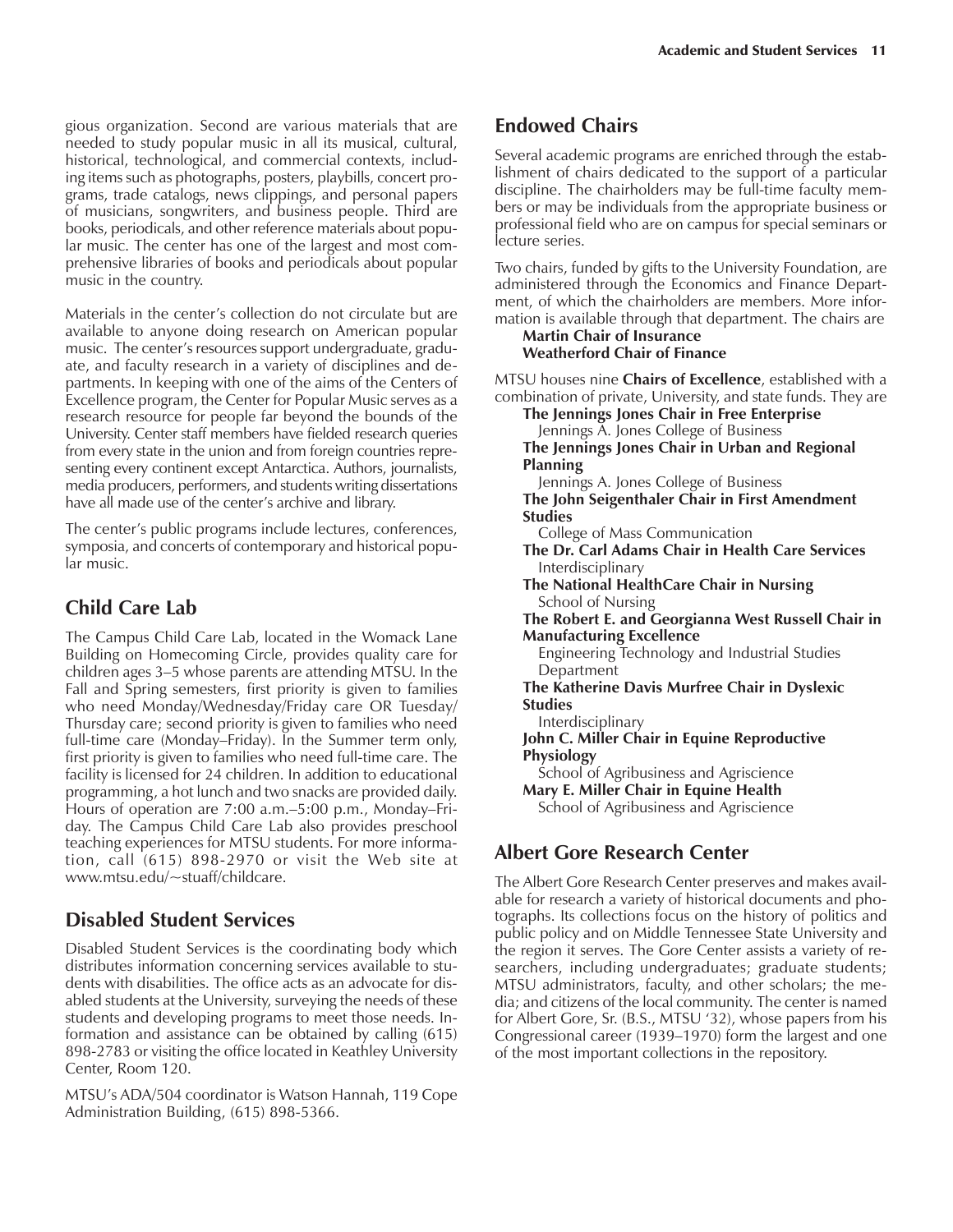gious organization. Second are various materials that are needed to study popular music in all its musical, cultural, historical, technological, and commercial contexts, including items such as photographs, posters, playbills, concert programs, trade catalogs, news clippings, and personal papers of musicians, songwriters, and business people. Third are books, periodicals, and other reference materials about popular music. The center has one of the largest and most comprehensive libraries of books and periodicals about popular music in the country.

Materials in the center's collection do not circulate but are available to anyone doing research on American popular music. The center's resources support undergraduate, graduate, and faculty research in a variety of disciplines and departments. In keeping with one of the aims of the Centers of Excellence program, the Center for Popular Music serves as a research resource for people far beyond the bounds of the University. Center staff members have fielded research queries from every state in the union and from foreign countries representing every continent except Antarctica. Authors, journalists, media producers, performers, and students writing dissertations have all made use of the center's archive and library.

The center's public programs include lectures, conferences, symposia, and concerts of contemporary and historical popular music.

## **Child Care Lab**

The Campus Child Care Lab, located in the Womack Lane Building on Homecoming Circle, provides quality care for children ages 3–5 whose parents are attending MTSU. In the Fall and Spring semesters, first priority is given to families who need Monday/Wednesday/Friday care OR Tuesday/ Thursday care; second priority is given to families who need full-time care (Monday–Friday). In the Summer term only, first priority is given to families who need full-time care. The facility is licensed for 24 children. In addition to educational programming, a hot lunch and two snacks are provided daily. Hours of operation are  $7:00$  a.m. $-5:00$  p.m., Monday-Friday. The Campus Child Care Lab also provides preschool teaching experiences for MTSU students. For more information, call (615) 898-2970 or visit the Web site at www.mtsu.edu/~stuaff/childcare.

## **Disabled Student Services**

Disabled Student Services is the coordinating body which distributes information concerning services available to students with disabilities. The office acts as an advocate for disabled students at the University, surveying the needs of these students and developing programs to meet those needs. Information and assistance can be obtained by calling (615) 898-2783 or visiting the office located in Keathley University Center, Room 120.

MTSUís ADA/504 coordinator is Watson Hannah, 119 Cope Administration Building, (615) 898-5366.

## **Endowed Chairs**

Several academic programs are enriched through the establishment of chairs dedicated to the support of a particular discipline. The chairholders may be full-time faculty members or may be individuals from the appropriate business or professional field who are on campus for special seminars or lecture series.

Two chairs, funded by gifts to the University Foundation, are administered through the Economics and Finance Department, of which the chairholders are members. More information is available through that department. The chairs are

#### **Martin Chair of Insurance Weatherford Chair of Finance**

MTSU houses nine **Chairs of Excellence**, established with a combination of private, University, and state funds. They are

**The Jennings Jones Chair in Free Enterprise**

Jennings A. Jones College of Business

**The Jennings Jones Chair in Urban and Regional Planning**

Jennings A. Jones College of Business

**The John Seigenthaler Chair in First Amendment Studies**

College of Mass Communication

- **The Dr. Carl Adams Chair in Health Care Services** Interdisciplinary
- **The National HealthCare Chair in Nursing** School of Nursing

**The Robert E. and Georgianna West Russell Chair in Manufacturing Excellence**

Engineering Technology and Industrial Studies **Department** 

**The Katherine Davis Murfree Chair in Dyslexic Studies**

Interdisciplinary

**John C. Miller Chair in Equine Reproductive Physiology**

School of Agribusiness and Agriscience

**Mary E. Miller Chair in Equine Health** School of Agribusiness and Agriscience

## **Albert Gore Research Center**

The Albert Gore Research Center preserves and makes available for research a variety of historical documents and photographs. Its collections focus on the history of politics and public policy and on Middle Tennessee State University and the region it serves. The Gore Center assists a variety of researchers, including undergraduates; graduate students; MTSU administrators, faculty, and other scholars; the media; and citizens of the local community. The center is named for Albert Gore, Sr. (B.S., MTSU '32), whose papers from his Congressional career (1939–1970) form the largest and one of the most important collections in the repository.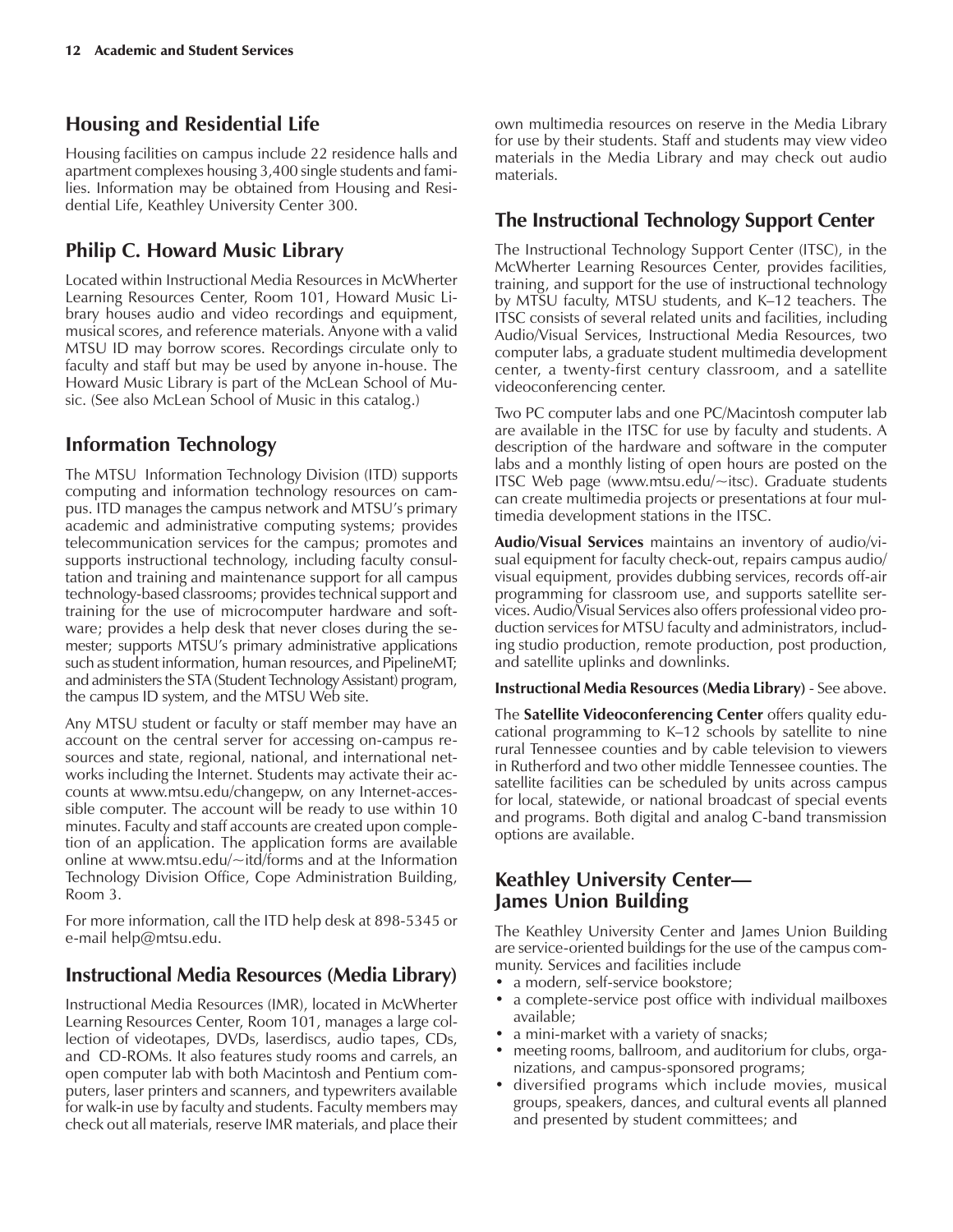### **Housing and Residential Life**

Housing facilities on campus include 22 residence halls and apartment complexes housing 3,400 single students and families. Information may be obtained from Housing and Residential Life, Keathley University Center 300.

## **Philip C. Howard Music Library**

Located within Instructional Media Resources in McWherter Learning Resources Center, Room 101, Howard Music Library houses audio and video recordings and equipment, musical scores, and reference materials. Anyone with a valid MTSU ID may borrow scores. Recordings circulate only to faculty and staff but may be used by anyone in-house. The Howard Music Library is part of the McLean School of Music. (See also McLean School of Music in this catalog.)

## **Information Technology**

The MTSU Information Technology Division (ITD) supports computing and information technology resources on campus. ITD manages the campus network and MTSU's primary academic and administrative computing systems; provides telecommunication services for the campus; promotes and supports instructional technology, including faculty consultation and training and maintenance support for all campus technology-based classrooms; provides technical support and training for the use of microcomputer hardware and software; provides a help desk that never closes during the semester; supports MTSU's primary administrative applications such as student information, human resources, and PipelineMT; and administers the STA (Student Technology Assistant) program, the campus ID system, and the MTSU Web site.

Any MTSU student or faculty or staff member may have an account on the central server for accessing on-campus resources and state, regional, national, and international networks including the Internet. Students may activate their accounts at www.mtsu.edu/changepw, on any Internet-accessible computer. The account will be ready to use within 10 minutes. Faculty and staff accounts are created upon completion of an application. The application forms are available online at www.mtsu.edu/~itd/forms and at the Information Technology Division Office, Cope Administration Building, Room 3.

For more information, call the ITD help desk at 898-5345 or e-mail help@mtsu.edu.

#### **Instructional Media Resources (Media Library)**

Instructional Media Resources (IMR), located in McWherter Learning Resources Center, Room 101, manages a large collection of videotapes, DVDs, laserdiscs, audio tapes, CDs, and CD-ROMs. It also features study rooms and carrels, an open computer lab with both Macintosh and Pentium computers, laser printers and scanners, and typewriters available for walk-in use by faculty and students. Faculty members may check out all materials, reserve IMR materials, and place their own multimedia resources on reserve in the Media Library for use by their students. Staff and students may view video materials in the Media Library and may check out audio materials.

## **The Instructional Technology Support Center**

The Instructional Technology Support Center (ITSC), in the McWherter Learning Resources Center, provides facilities, training, and support for the use of instructional technology by MTSU faculty, MTSU students, and K-12 teachers. The ITSC consists of several related units and facilities, including Audio/Visual Services, Instructional Media Resources, two computer labs, a graduate student multimedia development center, a twenty-first century classroom, and a satellite videoconferencing center.

Two PC computer labs and one PC/Macintosh computer lab are available in the ITSC for use by faculty and students. A description of the hardware and software in the computer labs and a monthly listing of open hours are posted on the ITSC Web page (www.mtsu.edu/~itsc). Graduate students can create multimedia projects or presentations at four multimedia development stations in the ITSC.

**Audio/Visual Services** maintains an inventory of audio/visual equipment for faculty check-out, repairs campus audio/ visual equipment, provides dubbing services, records off-air programming for classroom use, and supports satellite services. Audio/Visual Services also offers professional video production services for MTSU faculty and administrators, including studio production, remote production, post production, and satellite uplinks and downlinks.

**Instructional Media Resources (Media Library)** - See above.

The **Satellite Videoconferencing Center** offers quality educational programming to  $K-12$  schools by satellite to nine rural Tennessee counties and by cable television to viewers in Rutherford and two other middle Tennessee counties. The satellite facilities can be scheduled by units across campus for local, statewide, or national broadcast of special events and programs. Both digital and analog C-band transmission options are available.

### **Keathley University Center— James Union Building**

The Keathley University Center and James Union Building are service-oriented buildings for the use of the campus community. Services and facilities include

- a modern, self-service bookstore;
- a complete-service post office with individual mailboxes available;
- a mini-market with a variety of snacks;
- meeting rooms, ballroom, and auditorium for clubs, organizations, and campus-sponsored programs;
- diversified programs which include movies, musical groups, speakers, dances, and cultural events all planned and presented by student committees; and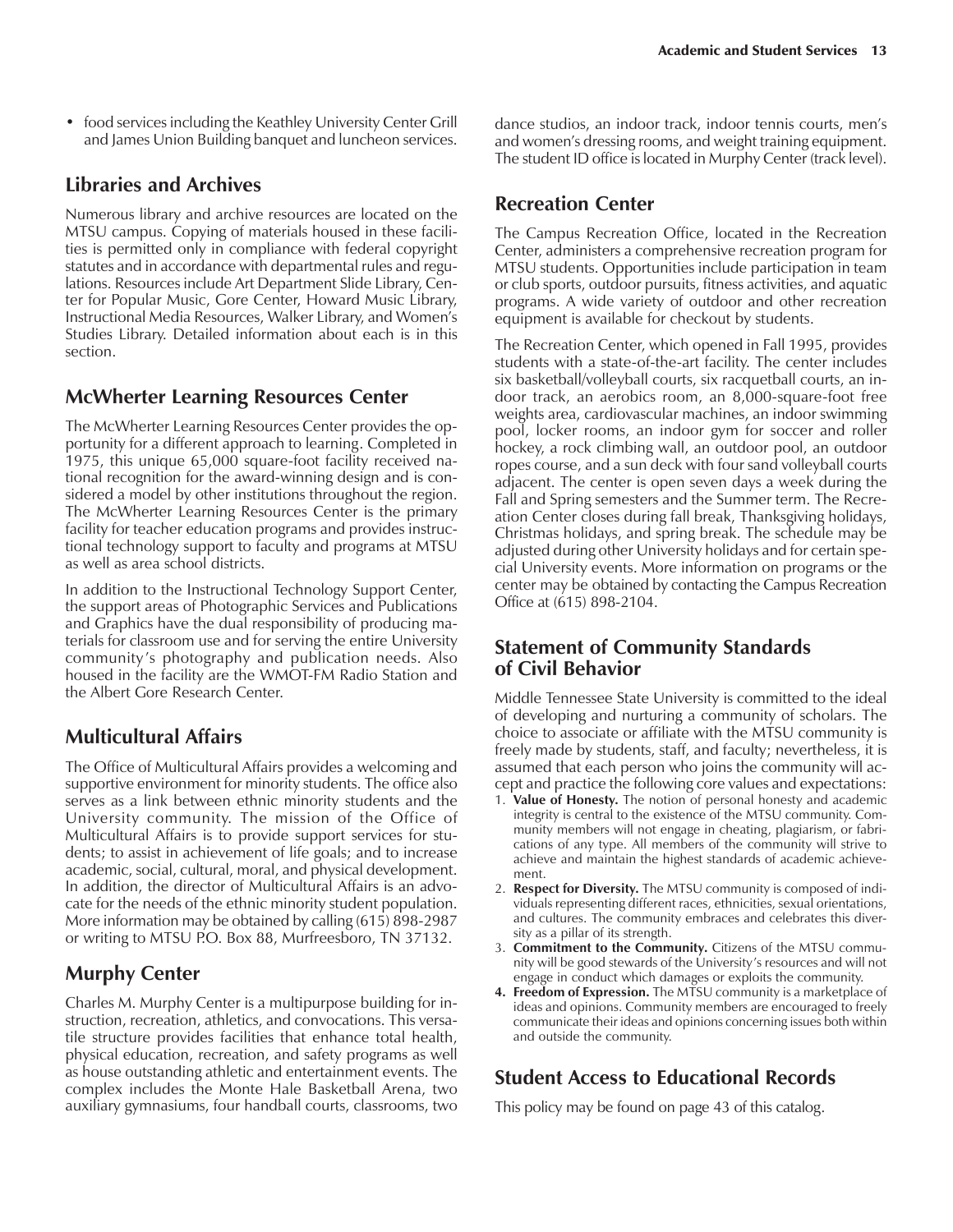• food services including the Keathley University Center Grill and James Union Building banquet and luncheon services.

#### **Libraries and Archives**

Numerous library and archive resources are located on the MTSU campus. Copying of materials housed in these facilities is permitted only in compliance with federal copyright statutes and in accordance with departmental rules and regulations. Resources include Art Department Slide Library, Center for Popular Music, Gore Center, Howard Music Library, Instructional Media Resources, Walker Library, and Womenís Studies Library. Detailed information about each is in this section.

#### **McWherter Learning Resources Center**

The McWherter Learning Resources Center provides the opportunity for a different approach to learning. Completed in 1975, this unique 65,000 square-foot facility received national recognition for the award-winning design and is considered a model by other institutions throughout the region. The McWherter Learning Resources Center is the primary facility for teacher education programs and provides instructional technology support to faculty and programs at MTSU as well as area school districts.

In addition to the Instructional Technology Support Center, the support areas of Photographic Services and Publications and Graphics have the dual responsibility of producing materials for classroom use and for serving the entire University community's photography and publication needs. Also housed in the facility are the WMOT-FM Radio Station and the Albert Gore Research Center.

#### **Multicultural Affairs**

The Office of Multicultural Affairs provides a welcoming and supportive environment for minority students. The office also serves as a link between ethnic minority students and the University community. The mission of the Office of Multicultural Affairs is to provide support services for students; to assist in achievement of life goals; and to increase academic, social, cultural, moral, and physical development. In addition, the director of Multicultural Affairs is an advocate for the needs of the ethnic minority student population. More information may be obtained by calling (615) 898-2987 or writing to MTSU P.O. Box 88, Murfreesboro, TN 37132.

## **Murphy Center**

Charles M. Murphy Center is a multipurpose building for instruction, recreation, athletics, and convocations. This versatile structure provides facilities that enhance total health, physical education, recreation, and safety programs as well as house outstanding athletic and entertainment events. The complex includes the Monte Hale Basketball Arena, two auxiliary gymnasiums, four handball courts, classrooms, two

dance studios, an indoor track, indoor tennis courts, men's and women's dressing rooms, and weight training equipment. The student ID office is located in Murphy Center (track level).

#### **Recreation Center**

The Campus Recreation Office, located in the Recreation Center, administers a comprehensive recreation program for MTSU students. Opportunities include participation in team or club sports, outdoor pursuits, fitness activities, and aquatic programs. A wide variety of outdoor and other recreation equipment is available for checkout by students.

The Recreation Center, which opened in Fall 1995, provides students with a state-of-the-art facility. The center includes six basketball/volleyball courts, six racquetball courts, an indoor track, an aerobics room, an 8,000-square-foot free weights area, cardiovascular machines, an indoor swimming pool, locker rooms, an indoor gym for soccer and roller hockey, a rock climbing wall, an outdoor pool, an outdoor ropes course, and a sun deck with four sand volleyball courts adjacent. The center is open seven days a week during the Fall and Spring semesters and the Summer term. The Recreation Center closes during fall break, Thanksgiving holidays, Christmas holidays, and spring break. The schedule may be adjusted during other University holidays and for certain special University events. More information on programs or the center may be obtained by contacting the Campus Recreation Office at (615) 898-2104.

#### **Statement of Community Standards of Civil Behavior**

Middle Tennessee State University is committed to the ideal of developing and nurturing a community of scholars. The choice to associate or affiliate with the MTSU community is freely made by students, staff, and faculty; nevertheless, it is assumed that each person who joins the community will accept and practice the following core values and expectations:

- 1. **Value of Honesty.** The notion of personal honesty and academic integrity is central to the existence of the MTSU community. Community members will not engage in cheating, plagiarism, or fabrications of any type. All members of the community will strive to achieve and maintain the highest standards of academic achievement.
- 2. **Respect for Diversity.** The MTSU community is composed of individuals representing different races, ethnicities, sexual orientations, and cultures. The community embraces and celebrates this diversity as a pillar of its strength.
- 3. **Commitment to the Community.** Citizens of the MTSU community will be good stewards of the University's resources and will not engage in conduct which damages or exploits the community.
- **4. Freedom of Expression.** The MTSU community is a marketplace of ideas and opinions. Community members are encouraged to freely communicate their ideas and opinions concerning issues both within and outside the community.

#### **Student Access to Educational Records**

This policy may be found on page 43 of this catalog.